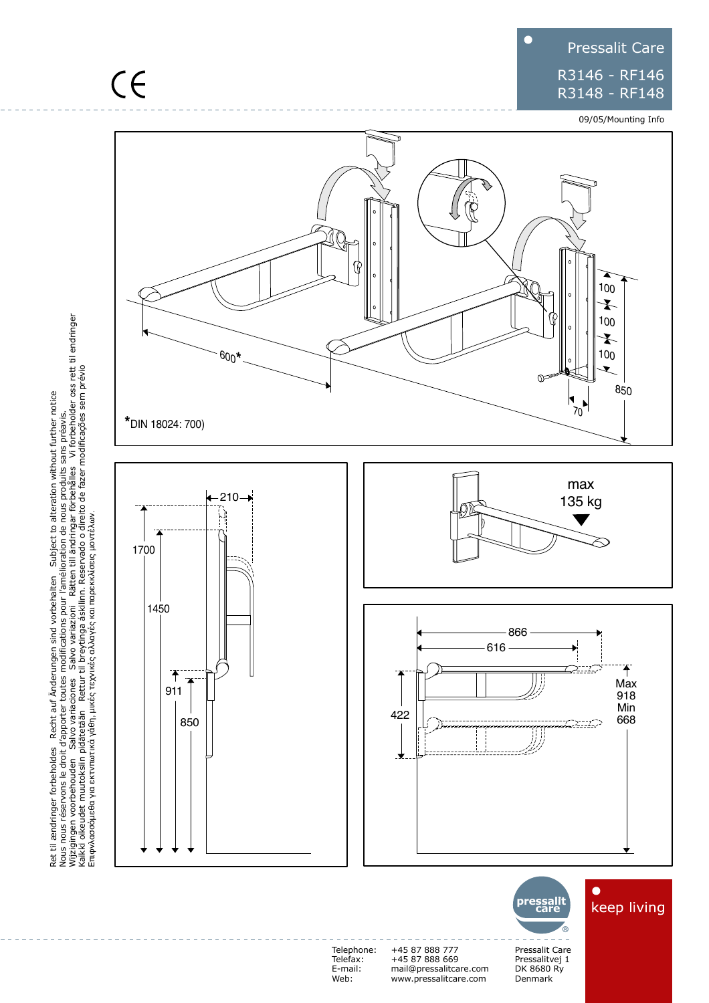## Pressalit Care R3146 - RF146 R3148 - RF148

09/05/Mounting Info



Ret til ændringer forbeholdes Recht auf Änderungen sind vorbehalten Subject to alteration without further notice<br>Nous nous réservons le droit d'apporter toutes modifications pour l'amélioration de nous produits sans préavi ændringer forbeholdes Recht auf Änderungen sind vorbehalten Subject to alteration without further notice Nous nous réservons le droit d'apporter toutes modifications pour l'amélioration de nous produits sans préavis. Wijzigingen voorbehouden Salvo variaciones Salvo variazioni Rätten till ändringar förbehålles Vi forbeholder oss rett til endringer Kaikki oikeudet muutoksiin pidätetään Rettur til breytinga áskilinn. Reservado o direito de fazer modificações sem prévio Eπιφνλασσόμεθα για εκτνπωτικά γάθη, μικές τεχνικές αλλαγές και παρεκκλίσεις μοντέλων.



Telephone: Telefax: E-mail: Web:

+45 87 888 777 +45 87 888 669 mail@pressalitcare.com www.pressalitcare.com

Pressalit Care Pressalitvej 1 DK 8680 Ry Denmark

**®**